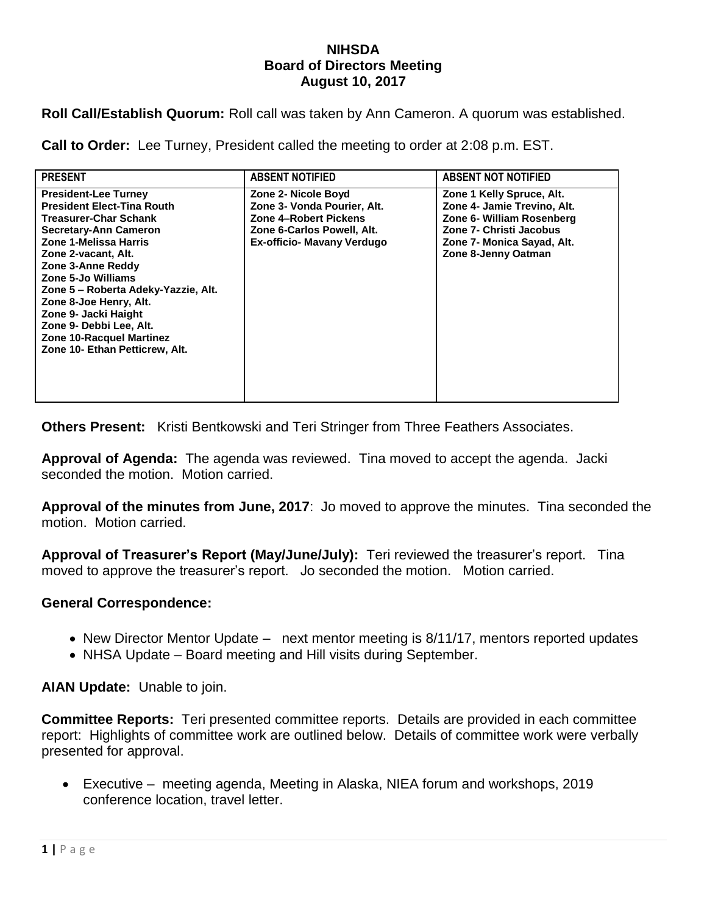## **NIHSDA Board of Directors Meeting August 10, 2017**

**Roll Call/Establish Quorum:** Roll call was taken by Ann Cameron. A quorum was established.

**Call to Order:** Lee Turney, President called the meeting to order at 2:08 p.m. EST.

| <b>PRESENT</b>                                                                                                                                                                                                                                                                                                                                                                                                       | <b>ABSENT NOTIFIED</b>                                                                                                                  | <b>ABSENT NOT NOTIFIED</b>                                                                                                                                            |
|----------------------------------------------------------------------------------------------------------------------------------------------------------------------------------------------------------------------------------------------------------------------------------------------------------------------------------------------------------------------------------------------------------------------|-----------------------------------------------------------------------------------------------------------------------------------------|-----------------------------------------------------------------------------------------------------------------------------------------------------------------------|
| <b>President-Lee Turney</b><br><b>President Elect-Tina Routh</b><br><b>Treasurer-Char Schank</b><br><b>Secretary-Ann Cameron</b><br>Zone 1-Melissa Harris<br>Zone 2-vacant, Alt.<br>Zone 3-Anne Reddy<br>Zone 5-Jo Williams<br>Zone 5 – Roberta Adeky-Yazzie, Alt.<br>Zone 8-Joe Henry, Alt.<br>Zone 9- Jacki Haight<br>Zone 9- Debbi Lee, Alt.<br><b>Zone 10-Racquel Martinez</b><br>Zone 10- Ethan Petticrew, Alt. | Zone 2- Nicole Boyd<br>Zone 3- Vonda Pourier, Alt.<br>Zone 4-Robert Pickens<br>Zone 6-Carlos Powell, Alt.<br>Ex-officio- Mavany Verdugo | Zone 1 Kelly Spruce, Alt.<br>Zone 4- Jamie Trevino, Alt.<br>Zone 6- William Rosenberg<br>Zone 7- Christi Jacobus<br>Zone 7- Monica Sayad, Alt.<br>Zone 8-Jenny Oatman |

**Others Present:** Kristi Bentkowski and Teri Stringer from Three Feathers Associates.

**Approval of Agenda:** The agenda was reviewed. Tina moved to accept the agenda. Jacki seconded the motion. Motion carried.

**Approval of the minutes from June, 2017**: Jo moved to approve the minutes. Tina seconded the motion. Motion carried.

**Approval of Treasurer's Report (May/June/July):** Teri reviewed the treasurer's report. Tina moved to approve the treasurer's report. Jo seconded the motion. Motion carried.

## **General Correspondence:**

- New Director Mentor Update  $-$  next mentor meeting is  $8/11/17$ , mentors reported updates
- NHSA Update Board meeting and Hill visits during September.

**AIAN Update:** Unable to join.

**Committee Reports:** Teri presented committee reports. Details are provided in each committee report: Highlights of committee work are outlined below. Details of committee work were verbally presented for approval.

 Executive – meeting agenda, Meeting in Alaska, NIEA forum and workshops, 2019 conference location, travel letter.